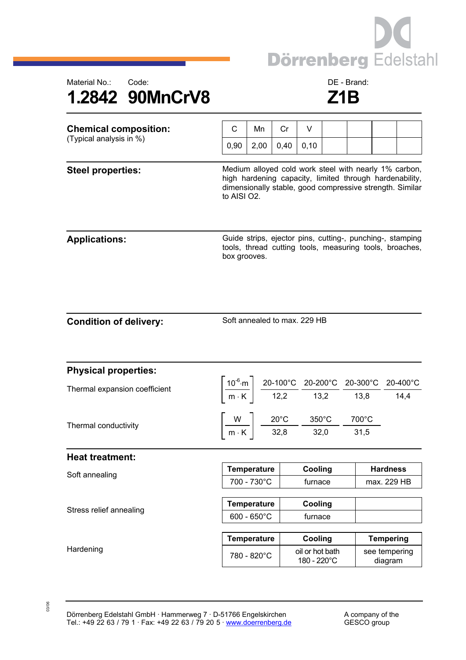



| <b>Chemical composition:</b><br>(Typical analysis in %) | C                                                                                                                                                                                           | Mn   | Cr   | V                                                                                                                    |  |  |                          |                                                                                                                                                                                                                 |  |
|---------------------------------------------------------|---------------------------------------------------------------------------------------------------------------------------------------------------------------------------------------------|------|------|----------------------------------------------------------------------------------------------------------------------|--|--|--------------------------|-----------------------------------------------------------------------------------------------------------------------------------------------------------------------------------------------------------------|--|
|                                                         | 0,90                                                                                                                                                                                        | 2,00 | 0,40 | 0,10                                                                                                                 |  |  |                          |                                                                                                                                                                                                                 |  |
| <b>Steel properties:</b>                                | Medium alloyed cold work steel with nearly 1% carbon,<br>high hardening capacity, limited through hardenability,<br>dimensionally stable, good compressive strength. Similar<br>to AISI O2. |      |      |                                                                                                                      |  |  |                          |                                                                                                                                                                                                                 |  |
| <b>Applications:</b>                                    | box grooves.                                                                                                                                                                                |      |      |                                                                                                                      |  |  |                          | Guide strips, ejector pins, cutting-, punching-, stamping<br>tools, thread cutting tools, measuring tools, broaches,                                                                                            |  |
| <b>Condition of delivery:</b>                           | Soft annealed to max. 229 HB                                                                                                                                                                |      |      |                                                                                                                      |  |  |                          |                                                                                                                                                                                                                 |  |
| <b>Physical properties:</b>                             |                                                                                                                                                                                             |      |      |                                                                                                                      |  |  |                          |                                                                                                                                                                                                                 |  |
| Thermal expansion coefficient                           |                                                                                                                                                                                             |      |      |                                                                                                                      |  |  |                          | $\left[\frac{10^{-6}\text{ m}}{\text{m} \cdot \text{K}}\right] \frac{\text{20-100°C}}{\text{12,2}} \frac{\text{20-200°C}}{\text{13,2}} \frac{\text{20-300°C}}{\text{13,8}} \frac{\text{20-400°C}}{\text{14,4}}$ |  |
| Thermal conductivity                                    |                                                                                                                                                                                             |      |      | $\left[\frac{W}{m\cdot K}\right]$ $\frac{20^{\circ}C}{32,8}$ $\frac{350^{\circ}C}{32,0}$ $\frac{700^{\circ}C}{31,5}$ |  |  |                          |                                                                                                                                                                                                                 |  |
| <b>Heat treatment:</b>                                  |                                                                                                                                                                                             |      |      |                                                                                                                      |  |  |                          |                                                                                                                                                                                                                 |  |
| Soft annealing                                          | <b>Temperature</b>                                                                                                                                                                          |      |      | Cooling                                                                                                              |  |  | <b>Hardness</b>          |                                                                                                                                                                                                                 |  |
|                                                         | 700 - 730°C                                                                                                                                                                                 |      |      | furnace                                                                                                              |  |  | max. 229 HB              |                                                                                                                                                                                                                 |  |
| Stress relief annealing                                 | <b>Temperature</b>                                                                                                                                                                          |      |      | Cooling                                                                                                              |  |  |                          |                                                                                                                                                                                                                 |  |
|                                                         | $600 - 650^{\circ}$ C                                                                                                                                                                       |      |      | furnace                                                                                                              |  |  |                          |                                                                                                                                                                                                                 |  |
|                                                         | <b>Temperature</b>                                                                                                                                                                          |      |      | Cooling                                                                                                              |  |  | <b>Tempering</b>         |                                                                                                                                                                                                                 |  |
| Hardening                                               | 780 - 820°C                                                                                                                                                                                 |      |      | oil or hot bath<br>180 - 220°C                                                                                       |  |  | see tempering<br>diagram |                                                                                                                                                                                                                 |  |

03/06